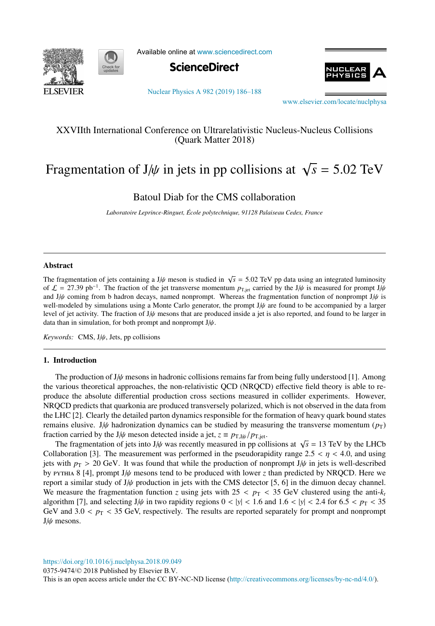



Available online at [www.sciencedirect.com](http://www.sciencedirect.com)





[Nuclear Physics A 982 \(2019\) 186–188](https://doi.org/10.1016/j.nuclphysa.2018.09.049)

[www.elsevier.com/locate/nuclphysa](http://www.elsevier.com/locate/nuclphysa)

## XXVIIth International Conference on Ultrarelativistic Nucleus-Nucleus Collisions (Quark Matter 2018)

# Fragmentation of J/ $\psi$  in jets in pp collisions at  $\sqrt{s}$  = 5.02 TeV

Batoul Diab for the CMS collaboration

*Laboratoire Leprince-Ringuet, Ecole polytechnique, 91128 Palaiseau Cedex, France ´*

### Abstract

The fragmentation of jets containing a J/ $\psi$  meson is studied in  $\sqrt{s}$  = 5.02 TeV pp data using an integrated luminosity of  $\mathcal{L} = 27.39 \text{ pb}^{-1}$ . The fraction of the jet transverse momentum  $p_{\text{T,jet}}$  carried by the J/ $\psi$  is measured for prompt J/ $\psi$ and J/ $\psi$  coming from b hadron decays, named nonprompt. Whereas the fragmentation function of nonprompt J/ $\psi$  is well-modeled by simulations using a Monte Carlo generator, the prompt J/ψ are found to be accompanied by a larger level of jet activity. The fraction of  $J/\psi$  mesons that are produced inside a jet is also reported, and found to be larger in data than in simulation, for both prompt and nonprompt  $J/\psi$ .

*Keywords:* CMS, J/ψ, Jets, pp collisions

#### 1. Introduction

The production of  $J/\psi$  mesons in hadronic collisions remains far from being fully understood [1]. Among the various theoretical approaches, the non-relativistic QCD (NRQCD) effective field theory is able to reproduce the absolute differential production cross sections measured in collider experiments. However, NRQCD predicts that quarkonia are produced transversely polarized, which is not observed in the data from the LHC [2]. Clearly the detailed parton dynamics responsible for the formation of heavy quark bound states remains elusive. J/ $\psi$  hadronization dynamics can be studied by measuring the transverse momentum ( $p_T$ ) fraction carried by the J/ $\psi$  meson detected inside a jet,  $z \equiv p_{\text{T},J/\psi}/p_{\text{T},\text{jet}}$ .

The fragmentation of jets into J/ $\psi$  was recently measured in pp collisions at  $\sqrt{s}$  = 13 TeV by the LHCb Collaboration [3]. The measurement was performed in the pseudorapidity range  $2.5 < \eta < 4.0$ , and using jets with  $p_T > 20$  GeV. It was found that while the production of nonprompt J/ $\psi$  in jets is well-described by pythia 8 [4], prompt J/ψ mesons tend to be produced with lower *z* than predicted by NRQCD. Here we report a similar study of  $J/\psi$  production in jets with the CMS detector [5, 6] in the dimuon decay channel. We measure the fragmentation function *z* using jets with  $25 < p_T < 35$  GeV clustered using the anti- $k_t$ algorithm [7], and selecting J/ $\psi$  in two rapidity regions  $0 < |y| < 1.6$  and  $1.6 < |y| < 2.4$  for  $6.5 < p<sub>T</sub> < 35$ GeV and  $3.0 < p_T < 35$  GeV, respectively. The results are reported separately for prompt and nonprompt J/ψ mesons.

<https://doi.org/10.1016/j.nuclphysa.2018.09.049>

0375-9474/© 2018 Published by Elsevier B.V.

This is an open access article under the CC BY-NC-ND license [\(http://creativecommons.org/licenses/by-nc-nd/4.0/\)](http://creativecommons.org/licenses/by-nc-nd/4.0/).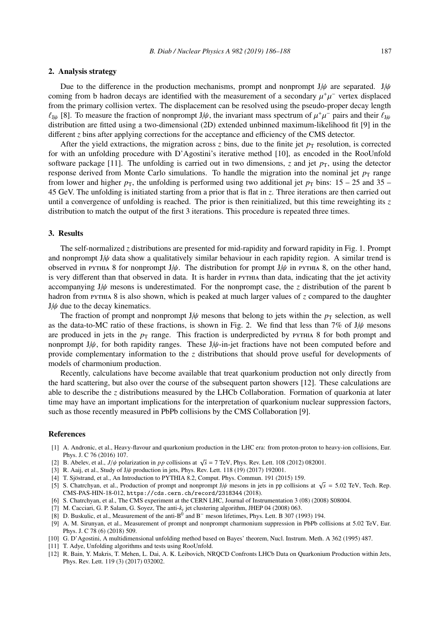#### 2. Analysis strategy

Due to the difference in the production mechanisms, prompt and nonprompt J/ $\psi$  are separated. J/ $\psi$ coming from b hadron decays are identified with the measurement of a secondary  $\mu^+\mu^-$  vertex displaced from the primary collision vertex. The displacement can be resolved using the pseudo-proper decay length  $\ell_{1\mu}$  [8]. To measure the fraction of nonprompt J/ $\psi$ , the invariant mass spectrum of  $\mu^+\mu^-$  pairs and their  $\ell_{1\mu}$ distribution are fitted using a two-dimensional (2D) extended unbinned maximum-likelihood fit [9] in the different *z* bins after applying corrections for the acceptance and efficiency of the CMS detector.

After the yield extractions, the migration across  $\zeta$  bins, due to the finite jet  $p<sub>T</sub>$  resolution, is corrected for with an unfolding procedure with D'Agostini's iterative method [10], as encoded in the RooUnfold software package [11]. The unfolding is carried out in two dimensions,  $\zeta$  and jet  $p<sub>T</sub>$ , using the detector response derived from Monte Carlo simulations. To handle the migration into the nominal jet  $p<sub>T</sub>$  range from lower and higher  $p_T$ , the unfolding is performed using two additional jet  $p_T$  bins: 15 – 25 and 35 – 45 GeV. The unfolding is initiated starting from a prior that is flat in *z*. Three iterations are then carried out until a convergence of unfolding is reached. The prior is then reinitialized, but this time reweighting its  $z$ distribution to match the output of the first 3 iterations. This procedure is repeated three times.

#### 3. Results

The self-normalized *z* distributions are presented for mid-rapidity and forward rapidity in Fig. 1. Prompt and nonprompt  $J/\psi$  data show a qualitatively similar behaviour in each rapidity region. A similar trend is observed in pythia 8 for nonprompt  $J/\psi$ . The distribution for prompt  $J/\psi$  in pythia 8, on the other hand, is very different than that observed in data. It is harder in pythia than data, indicating that the jet activity accompanying J/ψ mesons is underestimated. For the nonprompt case, the *z* distribution of the parent b hadron from pythia 8 is also shown, which is peaked at much larger values of *z* compared to the daughter J/ψ due to the decay kinematics.

The fraction of prompt and nonprompt J/ $\psi$  mesons that belong to jets within the  $p<sub>T</sub>$  selection, as well as the data-to-MC ratio of these fractions, is shown in Fig. 2. We find that less than 7% of  $J/\psi$  mesons are produced in jets in the  $p<sub>T</sub>$  range. This fraction is underpredicted by PYTHIA 8 for both prompt and nonprompt  $J/\psi$ , for both rapidity ranges. These  $J/\psi$ -in-jet fractions have not been computed before and provide complementary information to the *z* distributions that should prove useful for developments of models of charmonium production.

Recently, calculations have become available that treat quarkonium production not only directly from the hard scattering, but also over the course of the subsequent parton showers [12]. These calculations are able to describe the *z* distributions measured by the LHCb Collaboration. Formation of quarkonia at later time may have an important implications for the interpretation of quarkonium nuclear suppression factors, such as those recently measured in PbPb collisions by the CMS Collaboration [9].

#### References

- [1] A. Andronic, et al., Heavy-flavour and quarkonium production in the LHC era: from proton-proton to heavy-ion collisions, Eur. Phys. J. C 76 (2016) 107.
- [2] B. Abelev, et al.,  $J/\psi$  polarization in *pp* collisions at  $\sqrt{s} = 7$  TeV, Phys. Rev. Lett. 108 (2012) 082001.
- [3] R. Aaij, et al., Study of J/ $\psi$  production in jets, Phys. Rev. Lett. 118 (19) (2017) 192001.
- [4] T. Sjöstrand, et al., An Introduction to PYTHIA 8.2, Comput. Phys. Commun. 191 (2015) 159.
- [5] S. Chatrchyan, et al., Production of prompt and nonprompt J/ψ mesons in jets in pp collisions at <sup>√</sup>*<sup>s</sup>* <sup>=</sup> <sup>5</sup>.02 TeV, Tech. Rep. CMS-PAS-HIN-18-012, https://cds.cern.ch/record/2318344 (2018).
- [6] S. Chatrchyan, et al., The CMS experiment at the CERN LHC, Journal of Instrumentation 3 (08) (2008) S08004.
- [7] M. Cacciari, G. P. Salam, G. Soyez, The anti-*kt* jet clustering algorithm, JHEP 04 (2008) 063.
- [8] D. Buskulic, et al., Measurement of the anti-B0 and B<sup>−</sup> meson lifetimes, Phys. Lett. B 307 (1993) 194.
- [9] A. M. Sirunyan, et al., Measurement of prompt and nonprompt charmonium suppression in PbPb collisions at 5.02 TeV, Eur. Phys. J. C 78 (6) (2018) 509.
- [10] G. D'Agostini, A multidimensional unfolding method based on Bayes' theorem, Nucl. Instrum. Meth. A 362 (1995) 487.
- [11] T. Adye, Unfolding algorithms and tests using RooUnfold.
- [12] R. Bain, Y. Makris, T. Mehen, L. Dai, A. K. Leibovich, NRQCD Confronts LHCb Data on Quarkonium Production within Jets, Phys. Rev. Lett. 119 (3) (2017) 032002.